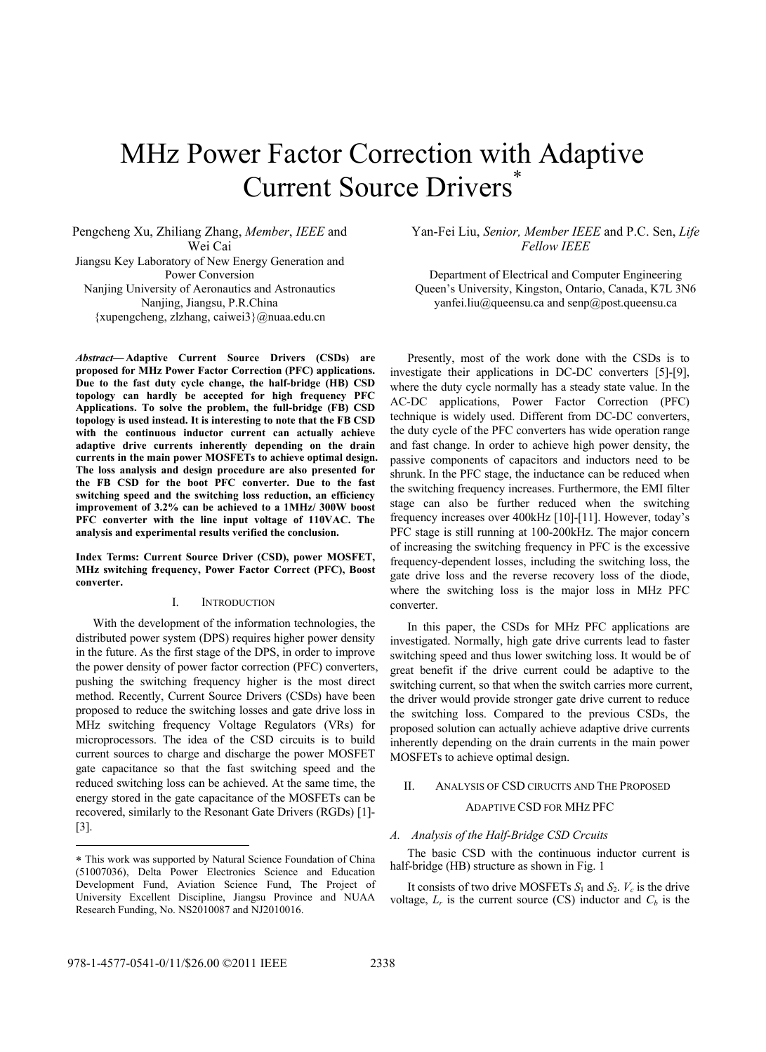# MHz Power Factor Correction with Adaptive Current Source Drivers<sup>\*</sup>

Pengcheng Xu, Zhiliang Zhang, *Member*, *IEEE* and Wei Cai Jiangsu Key Laboratory of New Energy Generation and Power Conversion Nanjing University of Aeronautics and Astronautics Nanjing, Jiangsu, P.R.China {xupengcheng, zlzhang, caiwei3}@nuaa.edu.cn

*Abstract—* **Adaptive Current Source Drivers (CSDs) are proposed for MHz Power Factor Correction (PFC) applications. Due to the fast duty cycle change, the half-bridge (HB) CSD topology can hardly be accepted for high frequency PFC Applications. To solve the problem, the full-bridge (FB) CSD topology is used instead. It is interesting to note that the FB CSD with the continuous inductor current can actually achieve adaptive drive currents inherently depending on the drain currents in the main power MOSFETs to achieve optimal design. The loss analysis and design procedure are also presented for the FB CSD for the boot PFC converter. Due to the fast switching speed and the switching loss reduction, an efficiency improvement of 3.2% can be achieved to a 1MHz/ 300W boost PFC converter with the line input voltage of 110VAC. The analysis and experimental results verified the conclusion.** 

**Index Terms: Current Source Driver (CSD), power MOSFET, MHz switching frequency, Power Factor Correct (PFC), Boost converter.** 

#### I. INTRODUCTION

With the development of the information technologies, the distributed power system (DPS) requires higher power density in the future. As the first stage of the DPS, in order to improve the power density of power factor correction (PFC) converters, pushing the switching frequency higher is the most direct method. Recently, Current Source Drivers (CSDs) have been proposed to reduce the switching losses and gate drive loss in MHz switching frequency Voltage Regulators (VRs) for microprocessors. The idea of the CSD circuits is to build current sources to charge and discharge the power MOSFET gate capacitance so that the fast switching speed and the reduced switching loss can be achieved. At the same time, the energy stored in the gate capacitance of the MOSFETs can be recovered, similarly to the Resonant Gate Drivers (RGDs) [1]- [3].

Yan-Fei Liu, *Senior, Member IEEE* and P.C. Sen, *Life Fellow IEEE*

Department of Electrical and Computer Engineering Queen's University, Kingston, Ontario, Canada, K7L 3N6 yanfei.liu@queensu.ca and senp@post.queensu.ca

Presently, most of the work done with the CSDs is to investigate their applications in DC-DC converters [5]-[9], where the duty cycle normally has a steady state value. In the AC-DC applications, Power Factor Correction (PFC) technique is widely used. Different from DC-DC converters, the duty cycle of the PFC converters has wide operation range and fast change. In order to achieve high power density, the passive components of capacitors and inductors need to be shrunk. In the PFC stage, the inductance can be reduced when the switching frequency increases. Furthermore, the EMI filter stage can also be further reduced when the switching frequency increases over 400kHz [10]-[11]. However, today's PFC stage is still running at 100-200kHz. The major concern of increasing the switching frequency in PFC is the excessive frequency-dependent losses, including the switching loss, the gate drive loss and the reverse recovery loss of the diode, where the switching loss is the major loss in MHz PFC converter.

In this paper, the CSDs for MHz PFC applications are investigated. Normally, high gate drive currents lead to faster switching speed and thus lower switching loss. It would be of great benefit if the drive current could be adaptive to the switching current, so that when the switch carries more current, the driver would provide stronger gate drive current to reduce the switching loss. Compared to the previous CSDs, the proposed solution can actually achieve adaptive drive currents inherently depending on the drain currents in the main power MOSFETs to achieve optimal design.

## II. ANALYSIS OF CSD CIRUCITS AND THE PROPOSED

#### ADAPTIVE CSD FOR MHZ PFC

# *A. Analysis of the Half-Bridge CSD Crcuits*

The basic CSD with the continuous inductor current is half-bridge (HB) structure as shown in Fig. 1

It consists of two drive MOSFETs  $S_1$  and  $S_2$ .  $V_c$  is the drive voltage,  $L_r$  is the current source (CS) inductor and  $C_b$  is the

l

<sup>∗</sup> This work was supported by Natural Science Foundation of China (51007036), Delta Power Electronics Science and Education Development Fund, Aviation Science Fund, The Project of University Excellent Discipline, Jiangsu Province and NUAA Research Funding, No. NS2010087 and NJ2010016.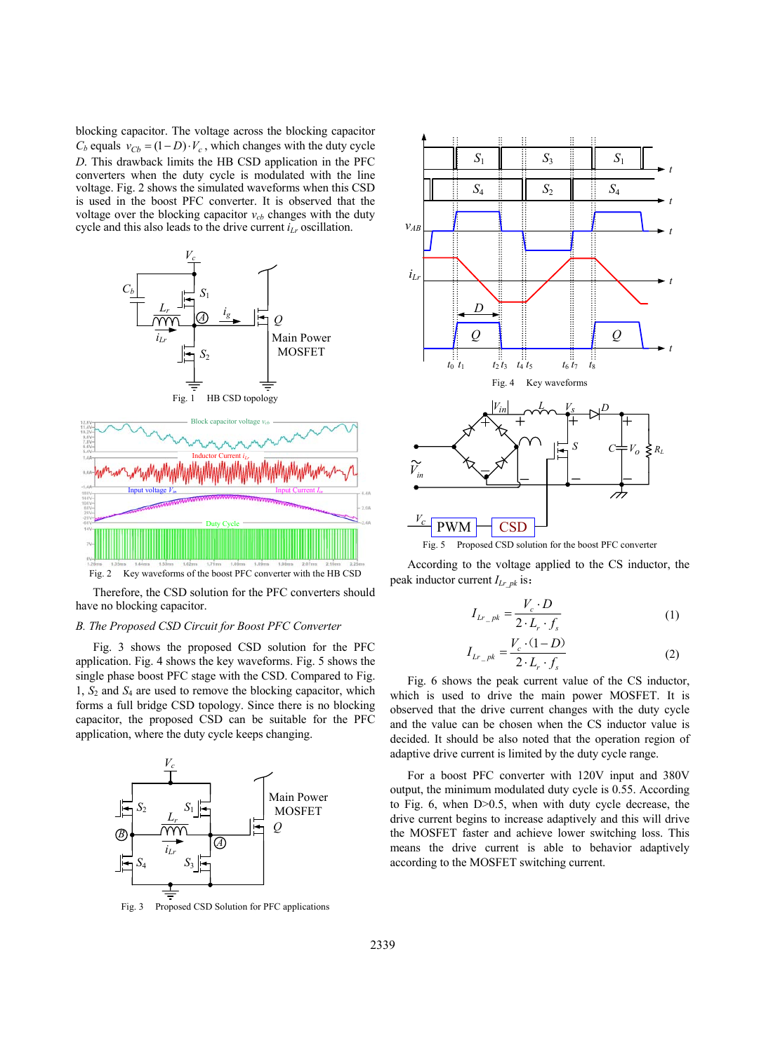blocking capacitor. The voltage across the blocking capacitor  $C_b$  equals  $v_{Cb} = (1 - D) \cdot V_c$ , which changes with the duty cycle *D*. This drawback limits the HB CSD application in the PFC converters when the duty cycle is modulated with the line voltage. Fig. 2 shows the simulated waveforms when this CSD is used in the boost PFC converter. It is observed that the voltage over the blocking capacitor  $v_{cb}$  changes with the duty cycle and this also leads to the drive current  $i_{Lr}$  oscillation.



Fig. 2 Key waveforms of the boost PFC converter with the HB CSD

Therefore, the CSD solution for the PFC converters should have no blocking capacitor.

# *B. The Proposed CSD Circuit for Boost PFC Converter*

Fig. 3 shows the proposed CSD solution for the PFC application. Fig. 4 shows the key waveforms. Fig. 5 shows the single phase boost PFC stage with the CSD. Compared to Fig. 1,  $S_2$  and  $S_4$  are used to remove the blocking capacitor, which forms a full bridge CSD topology. Since there is no blocking capacitor, the proposed CSD can be suitable for the PFC application, where the duty cycle keeps changing.



Fig. 3 Proposed CSD Solution for PFC applications



According to the voltage applied to the CS inductor, the peak inductor current *ILr\_pk* is:

$$
I_{Lr_{p}k} = \frac{V_c \cdot D}{2 \cdot L_r \cdot f_s} \tag{1}
$$

$$
I_{Lr_{p}} = \frac{V_c \cdot (1 - D)}{2 \cdot L_r \cdot f_s}
$$
 (2)

Fig. 6 shows the peak current value of the CS inductor, which is used to drive the main power MOSFET. It is observed that the drive current changes with the duty cycle and the value can be chosen when the CS inductor value is decided. It should be also noted that the operation region of adaptive drive current is limited by the duty cycle range.

For a boost PFC converter with 120V input and 380V output, the minimum modulated duty cycle is 0.55. According to Fig. 6, when D>0.5, when with duty cycle decrease, the drive current begins to increase adaptively and this will drive the MOSFET faster and achieve lower switching loss. This means the drive current is able to behavior adaptively according to the MOSFET switching current.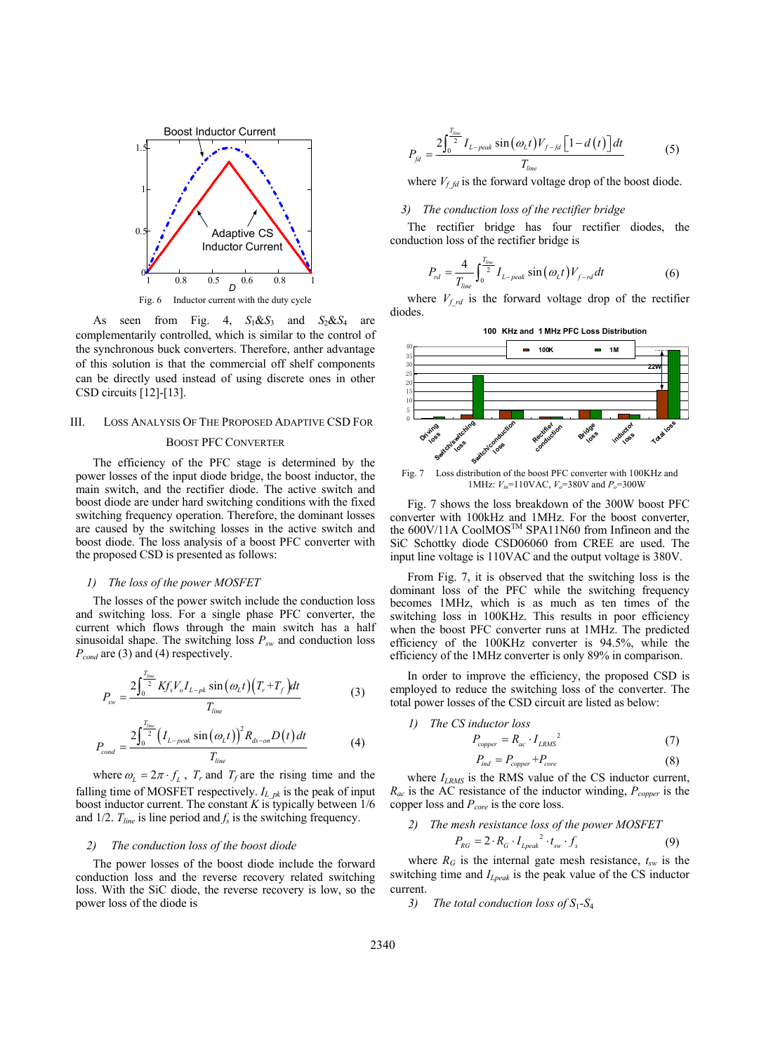

Fig. 6 Inductor current with the duty cycle

As seen from Fig. 4,  $S_1 \& S_3$  and  $S_2 \& S_4$  are complementarily controlled, which is similar to the control of the synchronous buck converters. Therefore, anther advantage of this solution is that the commercial off shelf components can be directly used instead of using discrete ones in other CSD circuits [12]-[13].

# III. LOSS ANALYSIS OF THE PROPOSED ADAPTIVE CSD FOR

#### BOOST PFC CONVERTER

The efficiency of the PFC stage is determined by the power losses of the input diode bridge, the boost inductor, the main switch, and the rectifier diode. The active switch and boost diode are under hard switching conditions with the fixed switching frequency operation. Therefore, the dominant losses are caused by the switching losses in the active switch and boost diode. The loss analysis of a boost PFC converter with the proposed CSD is presented as follows:

#### *1) The loss of the power MOSFET*

The losses of the power switch include the conduction loss and switching loss. For a single phase PFC converter, the current which flows through the main switch has a half sinusoidal shape. The switching loss *Psw* and conduction loss *P<sub>cond</sub>* are (3) and (4) respectively.

$$
P_{sw} = \frac{2 \int_0^{\frac{T_{line}}{2}} K f_s V_o I_{L-pk} \sin(\omega_L t) (T_r + T_f) dt}{T_{line}}
$$
(3)

$$
P_{cond} = \frac{2 \int_0^{\frac{T_{line}}{2}} (I_{L-peak} \sin(\omega_L t))^2 R_{ds-on} D(t) dt}{T_{line}}
$$
(4)

where  $\omega_L = 2\pi \cdot f_L$ ,  $T_r$  and  $T_f$  are the rising time and the falling time of MOSFET respectively.  $I_L_{pk}$  is the peak of input boost inductor current. The constant *K* is typically between 1/6 and  $1/2$ .  $T_{line}$  is line period and  $f_s$  is the switching frequency.

#### *2) The conduction loss of the boost diode*

The power losses of the boost diode include the forward conduction loss and the reverse recovery related switching loss. With the SiC diode, the reverse recovery is low, so the power loss of the diode is

$$
P_{fd} = \frac{2\int_{0}^{\frac{T_{line}}{2}} I_{L-peak} \sin(\omega_{L}t) V_{f-fd} \left[1 - d(t)\right] dt}{T_{line}}
$$
(5)

where  $V_{f\hat{H}}$  is the forward voltage drop of the boost diode.

## *3) The conduction loss of the rectifier bridge*

The rectifier bridge has four rectifier diodes, the conduction loss of the rectifier bridge is

$$
P_{rd} = \frac{4}{T_{line}} \int_0^{\frac{T_{line}}{2}} I_{L-peak} \sin(\omega_L t) V_{f-rd} dt
$$
 (6)

where  $V_{f\,rd}$  is the forward voltage drop of the rectifier diodes.

**100 KHz and 1 MHz PFC Loss Distribution**



Fig. 7 Loss distribution of the boost PFC converter with 100KHz and 1MHz:  $V_{in}$ =110VAC,  $V_o$ =380V and  $P_o$ =300W

Fig. 7 shows the loss breakdown of the 300W boost PFC converter with 100kHz and 1MHz. For the boost converter, the 600V/11A CoolMOS<sup>TM</sup> SPA11N60 from Infineon and the SiC Schottky diode CSD06060 from CREE are used. The input line voltage is 110VAC and the output voltage is 380V.

From Fig. 7, it is observed that the switching loss is the dominant loss of the PFC while the switching frequency becomes 1MHz, which is as much as ten times of the switching loss in 100KHz. This results in poor efficiency when the boost PFC converter runs at 1MHz. The predicted efficiency of the 100KHz converter is 94.5%, while the efficiency of the 1MHz converter is only 89% in comparison.

In order to improve the efficiency, the proposed CSD is employed to reduce the switching loss of the converter. The total power losses of the CSD circuit are listed as below:

*1) The CS inductor loss* 

$$
P_{copper} = R_{ac} \cdot I_{LRMS}^{2} \tag{7}
$$

$$
P_{ind} = P_{copper} + P_{core}
$$
 (8)

where  $I_{LRMS}$  is the RMS value of the CS inductor current, *Rac* is the AC resistance of the inductor winding, *Pcopper* is the copper loss and  $P_{core}$  is the core loss.

*2) The mesh resistance loss of the power MOSFET* 

$$
P_{RG} = 2 \cdot R_G \cdot I_{Lpeak}^2 \cdot t_{sw} \cdot f_s \tag{9}
$$

where  $R_G$  is the internal gate mesh resistance,  $t_{sw}$  is the switching time and *ILpeak* is the peak value of the CS inductor current.

*3) The total conduction loss of S*1*-S*<sup>4</sup>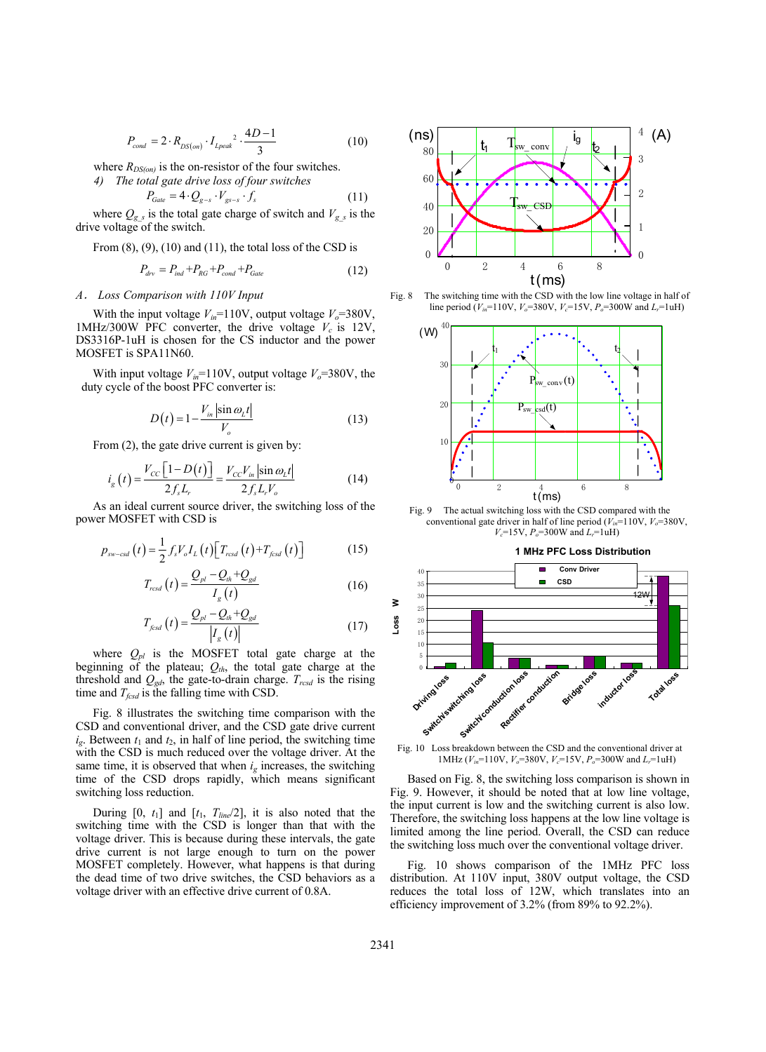$$
P_{cond} = 2 \cdot R_{DS(on)} \cdot I_{Lpeak}^2 \cdot \frac{4D-1}{3} \tag{10}
$$

where  $R_{DS(on)}$  is the on-resistor of the four switches.

*4) The total gate drive loss of four switches* 

$$
P_{\text{Gate}} = 4 \cdot Q_{g-s} \cdot V_{g s-s} \cdot f_s \tag{11}
$$

where  $Q_{g,s}$  is the total gate charge of switch and  $V_{g,s}$  is the drive voltage of the switch.

From  $(8)$ ,  $(9)$ ,  $(10)$  and  $(11)$ , the total loss of the CSD is

$$
P_{\text{drv}} = P_{\text{ind}} + P_{\text{RG}} + P_{\text{cond}} + P_{\text{Gate}} \tag{12}
$$

#### *A*. *Loss Comparison with 110V Input*

With the input voltage  $V_{in}$ =110V, output voltage  $V_o$ =380V, 1MHz/300W PFC converter, the drive voltage  $V_c$  is 12V, DS3316P-1uH is chosen for the CS inductor and the power MOSFET is SPA11N60.

With input voltage  $V_{in}$ =110V, output voltage  $V_o$ =380V, the duty cycle of the boost PFC converter is:

$$
D(t) = 1 - \frac{V_{in} |\sin \omega_L t|}{V_o}
$$
 (13)

From (2), the gate drive current is given by:

$$
i_{g}(t) = \frac{V_{CC} [1 - D(t)]}{2 f_{s} L_{r}} = \frac{V_{CC} V_{in} |\sin \omega_{L} t|}{2 f_{s} L_{r} V_{o}}
$$
(14)

As an ideal current source driver, the switching loss of the power MOSFET with CSD is

$$
p_{\text{sw-csd}}(t) = \frac{1}{2} f_s V_o I_L(t) \Big[ T_{\text{rcsd}}(t) + T_{\text{fcsd}}(t) \Big] \tag{15}
$$

$$
T_{rcsd}(t) = \frac{Q_{pl} - Q_{th} + Q_{gd}}{I_g(t)}
$$
\n(16)

$$
T_{fcsd}(t) = \frac{Q_{pl} - Q_{th} + Q_{gd}}{\left|I_g(t)\right|}
$$
\n(17)

where  $Q_{pl}$  is the MOSFET total gate charge at the beginning of the plateau;  $Q_{th}$ , the total gate charge at the threshold and  $Q_{gd}$ , the gate-to-drain charge.  $T_{rcsd}$  is the rising time and  $T_{\text{fcsd}}$  is the falling time with CSD.

Fig. 8 illustrates the switching time comparison with the CSD and conventional driver, and the CSD gate drive current  $i_{\rm g}$ . Between  $t_1$  and  $t_2$ , in half of line period, the switching time with the CSD is much reduced over the voltage driver. At the same time, it is observed that when  $i_{\epsilon}$  increases, the switching time of the CSD drops rapidly, which means significant switching loss reduction.

During  $[0, t_1]$  and  $[t_1, T_{line}/2]$ , it is also noted that the switching time with the CSD is longer than that with the voltage driver. This is because during these intervals, the gate drive current is not large enough to turn on the power MOSFET completely. However, what happens is that during the dead time of two drive switches, the CSD behaviors as a voltage driver with an effective drive current of 0.8A.







Fig. 9 The actual switching loss with the CSD compared with the conventional gate driver in half of line period  $(V_{in} = 110V, V_o = 380V,$ *Vc*=15V, *Po*=300W and *Lr*=1uH)





Fig. 10 Loss breakdown between the CSD and the conventional driver at 1MHz ( $V_{in}$ =110V,  $V_o$ =380V,  $V_c$ =15V,  $P_o$ =300W and  $L_r$ =1uH)

Based on Fig. 8, the switching loss comparison is shown in Fig. 9. However, it should be noted that at low line voltage, the input current is low and the switching current is also low. Therefore, the switching loss happens at the low line voltage is limited among the line period. Overall, the CSD can reduce the switching loss much over the conventional voltage driver.

Fig. 10 shows comparison of the 1MHz PFC loss distribution. At 110V input, 380V output voltage, the CSD reduces the total loss of 12W, which translates into an efficiency improvement of 3.2% (from 89% to 92.2%).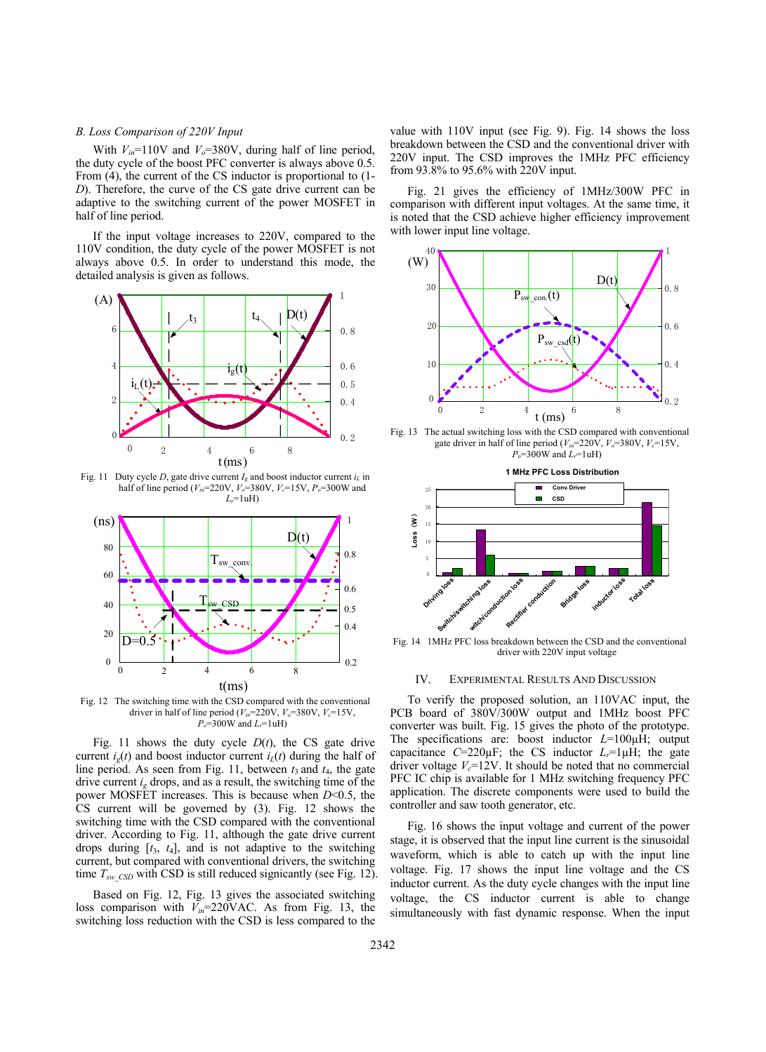#### *B. Loss Comparison of 220V Input*

With  $V_{in}$ =110V and  $V_{o}$ =380V, during half of line period, the duty cycle of the boost PFC converter is always above 0.5. From (4), the current of the CS inductor is proportional to (1- *D*). Therefore, the curve of the CS gate drive current can be adaptive to the switching current of the power MOSFET in half of line period.

If the input voltage increases to 220V, compared to the 110V condition, the duty cycle of the power MOSFET is not always above 0.5. In order to understand this mode, the detailed analysis is given as follows.



Fig. 11 Duty cycle *D*, gate drive current  $I_g$  and boost inductor current  $i_L$  in half of line period ( $V_{in}$ =220V,  $V_o$ =380V,  $V_c$ =15V,  $P_o$ =300W and *Lr*=1uH)



Fig. 12 The switching time with the CSD compared with the conventional driver in half of line period ( $V_{in}$ =220V,  $V_o$ =380V,  $V_c$ =15V,  $P_0 = 300W$  and  $L_r = 1uH$ )

Fig. 11 shows the duty cycle  $D(t)$ , the CS gate drive current  $i_{\varrho}(t)$  and boost inductor current  $i_{\ell}(t)$  during the half of line period. As seen from Fig. 11, between  $t_3$  and  $t_4$ , the gate drive current *ig* drops, and as a result, the switching time of the power MOSFET increases. This is because when *D*<0.5, the CS current will be governed by (3). Fig. 12 shows the switching time with the CSD compared with the conventional driver. According to Fig. 11, although the gate drive current drops during [*t*3, *t*4], and is not adaptive to the switching current, but compared with conventional drivers, the switching time  $T_{sw\text{ }CSD}$  with CSD is still reduced signicantly (see Fig. 12).

Based on Fig. 12, Fig. 13 gives the associated switching loss comparison with *Vin*=220VAC. As from Fig. 13, the switching loss reduction with the CSD is less compared to the value with 110V input (see Fig. 9). Fig. 14 shows the loss breakdown between the CSD and the conventional driver with 220V input. The CSD improves the 1MHz PFC efficiency from 93.8% to 95.6% with 220V input.

Fig. 21 gives the efficiency of 1MHz/300W PFC in comparison with different input voltages. At the same time, it is noted that the CSD achieve higher efficiency improvement with lower input line voltage.



Fig. 13 The actual switching loss with the CSD compared with conventional gate driver in half of line period ( $V_{in}$ =220V,  $V_o$ =380V,  $V_c$ =15V,  $P_0$ =300W and  $L_r$ =1uH)



Fig. 14 1MHz PFC loss breakdown between the CSD and the conventional driver with 220V input voltage

#### IV. EXPERIMENTAL RESULTS AND DISCUSSION

To verify the proposed solution, an 110VAC input, the PCB board of 380V/300W output and 1MHz boost PFC converter was built. Fig. 15 gives the photo of the prototype. The specifications are: boost inductor *L*=100µH; output capacitance  $C=220\mu\text{F}$ ; the CS inductor  $L_r=1\mu\text{H}$ ; the gate driver voltage  $V_c$ =12V. It should be noted that no commercial PFC IC chip is available for 1 MHz switching frequency PFC application. The discrete components were used to build the controller and saw tooth generator, etc.

Fig. 16 shows the input voltage and current of the power stage, it is observed that the input line current is the sinusoidal waveform, which is able to catch up with the input line voltage. Fig. 17 shows the input line voltage and the CS inductor current. As the duty cycle changes with the input line voltage, the CS inductor current is able to change simultaneously with fast dynamic response. When the input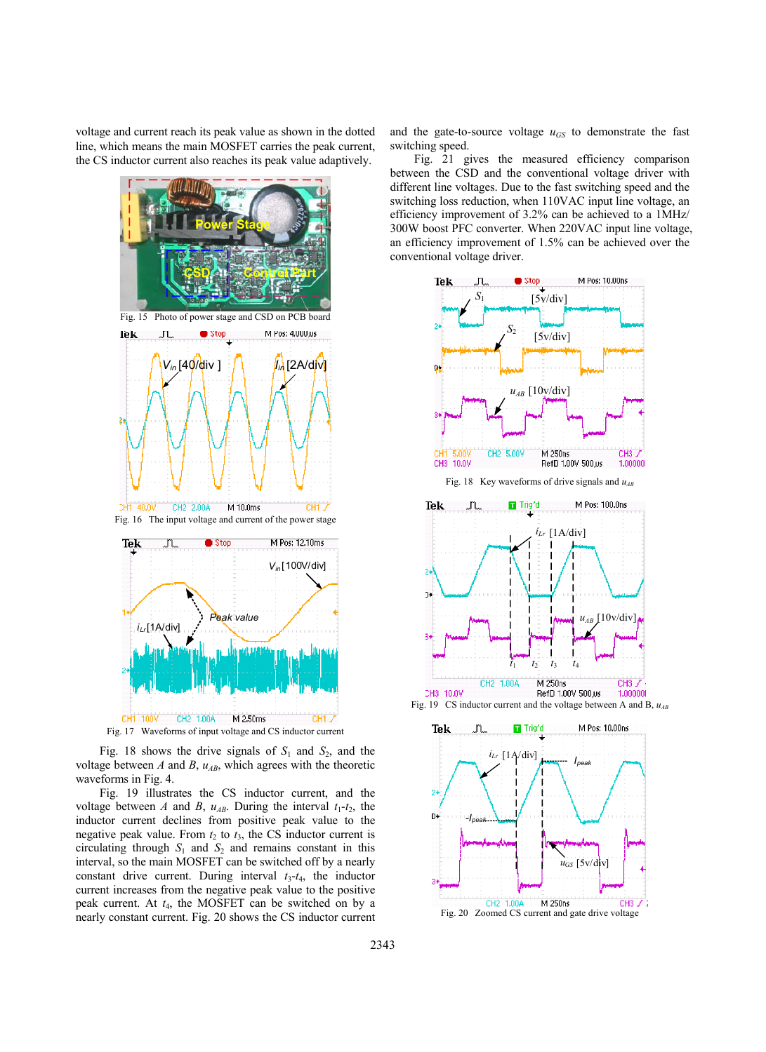voltage and current reach its peak value as shown in the dotted line, which means the main MOSFET carries the peak current, the CS inductor current also reaches its peak value adaptively.



Fig. 18 shows the drive signals of  $S_1$  and  $S_2$ , and the voltage between  $A$  and  $B$ ,  $u_{AB}$ , which agrees with the theoretic waveforms in Fig. 4.

Fig. 19 illustrates the CS inductor current, and the voltage between *A* and *B*,  $u_{AB}$ . During the interval  $t_1$ - $t_2$ , the inductor current declines from positive peak value to the negative peak value. From  $t_2$  to  $t_3$ , the CS inductor current is circulating through  $S_1$  and  $S_2$  and remains constant in this interval, so the main MOSFET can be switched off by a nearly constant drive current. During interval  $t_3-t_4$ , the inductor current increases from the negative peak value to the positive peak current. At *t*4, the MOSFET can be switched on by a nearly constant current. Fig. 20 shows the CS inductor current and the gate-to-source voltage  $u_{GS}$  to demonstrate the fast switching speed.

Fig. 21 gives the measured efficiency comparison between the CSD and the conventional voltage driver with different line voltages. Due to the fast switching speed and the switching loss reduction, when 110VAC input line voltage, an efficiency improvement of 3.2% can be achieved to a 1MHz/ 300W boost PFC converter. When 220VAC input line voltage, an efficiency improvement of 1.5% can be achieved over the conventional voltage driver.



Fig. 19 CS inductor current and the voltage between A and B,  $u_{AB}$